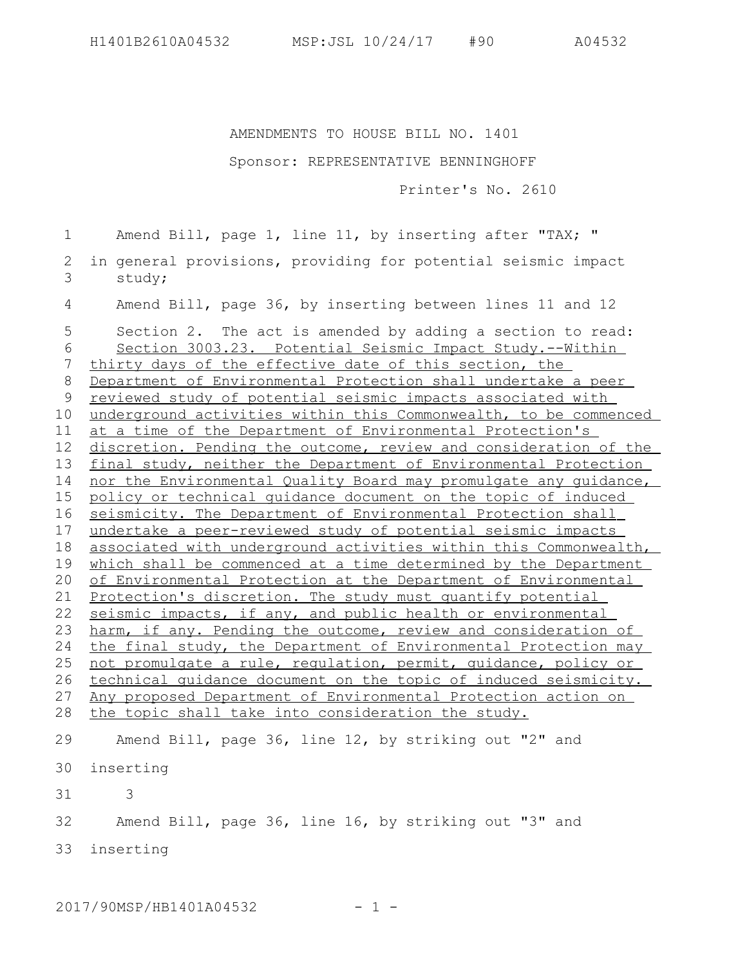AMENDMENTS TO HOUSE BILL NO. 1401

## Sponsor: REPRESENTATIVE BENNINGHOFF

Printer's No. 2610

Amend Bill, page 1, line 11, by inserting after "TAX; " in general provisions, providing for potential seismic impact study; Amend Bill, page 36, by inserting between lines 11 and 12 Section 2. The act is amended by adding a section to read: Section 3003.23. Potential Seismic Impact Study.--Within thirty days of the effective date of this section, the Department of Environmental Protection shall undertake a peer reviewed study of potential seismic impacts associated with underground activities within this Commonwealth, to be commenced at a time of the Department of Environmental Protection's discretion. Pending the outcome, review and consideration of the final study, neither the Department of Environmental Protection nor the Environmental Quality Board may promulgate any guidance, policy or technical guidance document on the topic of induced seismicity. The Department of Environmental Protection shall undertake a peer-reviewed study of potential seismic impacts associated with underground activities within this Commonwealth, which shall be commenced at a time determined by the Department of Environmental Protection at the Department of Environmental Protection's discretion. The study must quantify potential seismic impacts, if any, and public health or environmental harm, if any. Pending the outcome, review and consideration of the final study, the Department of Environmental Protection may not promulgate a rule, regulation, permit, guidance, policy or technical guidance document on the topic of induced seismicity. Any proposed Department of Environmental Protection action on the topic shall take into consideration the study. Amend Bill, page 36, line 12, by striking out "2" and inserting 30 3 Amend Bill, page 36, line 16, by striking out "3" and inserting 331 2 3 4 5 6 7 8 9 10 11 12 13 14 15 16 17 18 19 20 21 22 23 24 25 26 27 28 29 31 32